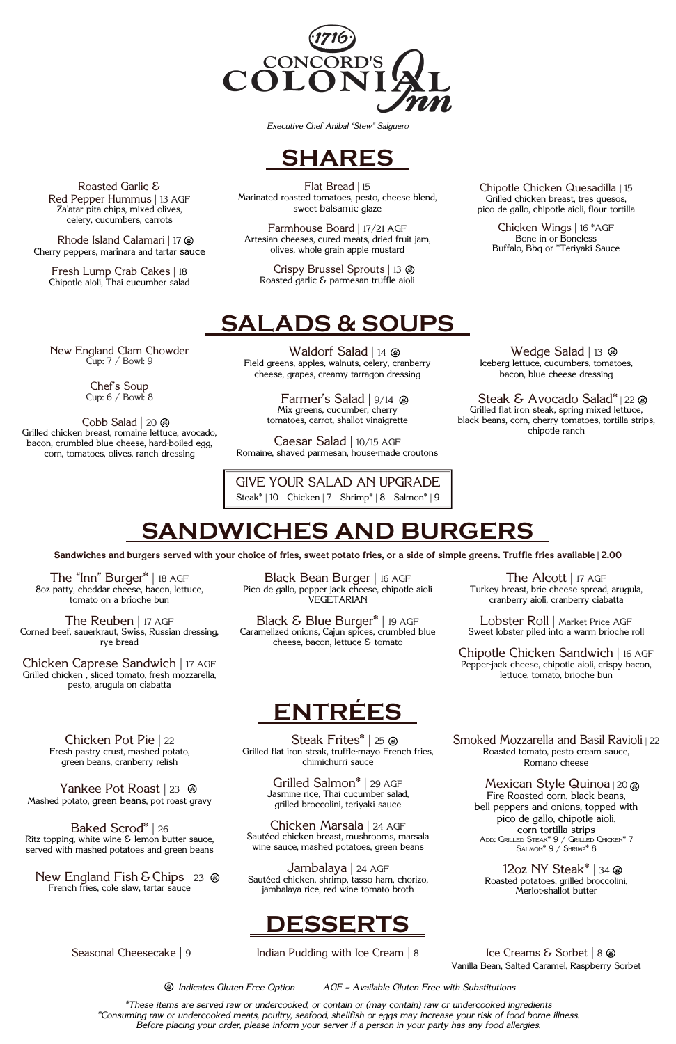Waldorf Salad | 14 @ Field greens, apples, walnuts, celery, cranberry cheese, grapes, creamy tarragon dressing

> Farmer's Salad | 9/14 Mix greens, cucumber, cherry tomatoes, carrot, shallot vinaigrette

Caesar Salad | 10/15 AGF Romaine, shaved parmesan, house-made croutons

Flat Bread | 15 Marinated roasted tomatoes, pesto, cheese blend, sweet balsamic glaze

Farmhouse Board | 17/21 AGF Artesian cheeses, cured meats, dried fruit jam, olives, whole grain apple mustard

Crispy Brussel Sprouts | 13 Roasted garlic & parmesan truffle aioli

Chipotle Chicken Quesadilla | 15 Grilled chicken breast, tres quesos, pico de gallo, chipotle aioli, flour tortilla

Chicken Wings | 16 \*AGF Bone in or Boneless Buffalo, Bbq or \*Teriyaki Sauce

Roasted Garlic & Red Pepper Hummus | 13 AGF Za'atar pita chips, mixed olives, celery, cucumbers, carrots

> GIVE YOUR SALAD AN UPGRADE Steak\* | 10 Chicken | 7 Shrimp\* | 8 Salmon\* | 9

Rhode Island Calamari | 17 Cherry peppers, marinara and tartar sauce

Fresh Lump Crab Cakes | 18 Chipotle aioli, Thai cucumber salad

### SHARES

SALADS & SOUPS

DESSERTS

Cobb Salad | 20  $\circledast$ Grilled chicken breast, romaine lettuce, avocado, bacon, crumbled blue cheese, hard-boiled egg, corn, tomatoes, olives, ranch dressing

### SANDWICHES AND BURGERS



Wedge Salad | 13  $\circledast$ Iceberg lettuce, cucumbers, tomatoes, bacon, blue cheese dressing

Steak & Avocado Salad\* | 22  $\circledast$ Grilled flat iron steak, spring mixed lettuce, black beans, corn, cherry tomatoes, tortilla strips, chipotle ranch

Vanilla Bean, Salted Caramel, Raspberry Sorbet

 $\bullet$  Indicates Gluten Free Option  $AGF =$  Available Gluten Free with Substitutions



Executive Chef Anibal "Stew" Salguero

**Sandwiches and burgers served with your choice of fries, sweet potato fries, or a side of simple greens. Truffle fries available | 2.00**

\*These items are served raw or undercooked, or contain or (may contain) raw or undercooked ingredients \*Consuming raw or undercooked meats, poultry, seafood, shellfish or eggs may increase your risk of food borne illness. Before placing your order, please inform your server if a person in your party has any food allergies.

Yankee Pot Roast | 23  $\circledast$ Mashed potato, green beans, pot roast gravy

New England Fish & Chips  $|23 \otimes$ French fries, cole slaw, tartar sauce

Steak Frites<sup>\*</sup> | 25 @ Grilled flat iron steak, truffle-mayo French fries, chimichurri sauce

### New England Clam Chowder Cup: 7 / Bowl: 9

Chef's Soup Cup: 6 / Bowl: 8

> Mexican Style Quinoa  $|20\rangle$ Fire Roasted corn, black beans, bell peppers and onions, topped with pico de gallo, chipotle aioli, corn tortilla strips

12oz NY Steak $*$  | 34  $\circledcirc$ Roasted potatoes, grilled broccolini, Merlot-shallot butter

The "Inn" Burger\* | 18 AGF 8oz patty, cheddar cheese, bacon, lettuce, tomato on a brioche bun

The Reuben | 17 AGF Corned beef, sauerkraut, Swiss, Russian dressing, rye bread

Chicken Caprese Sandwich | 17 AGF Grilled chicken , sliced tomato, fresh mozzarella, pesto, arugula on ciabatta

Black Bean Burger | 16 AGF Pico de gallo, pepper jack cheese, chipotle aioli VEGETARIAN

Black & Blue Burger\* | 19 AGF Caramelized onions, Cajun spices, crumbled blue cheese, bacon, lettuce & tomato

The Alcott | 17 AGF Turkey breast, brie cheese spread, arugula, cranberry aioli, cranberry ciabatta

Lobster Roll | Market Price AGF Sweet lobster piled into a warm brioche roll

Chipotle Chicken Sandwich | 16 AGF Pepper-jack cheese, chipotle aioli, crispy bacon, lettuce, tomato, brioche bun

Chicken Pot Pie | 22 Fresh pastry crust, mashed potato, green beans, cranberry relish

Baked Scrod\* | 26 Ritz topping, white wine  $\delta$  lemon butter sauce, served with mashed potatoes and green beans

Grilled Salmon\* | 29 AGF Jasmine rice, Thai cucumber salad, grilled broccolini, teriyaki sauce

Chicken Marsala | 24 AGF

Sautéed chicken breast, mushrooms, marsala wine sauce, mashed potatoes, green beans

Jambalaya | 24 AGF Sautéed chicken, shrimp, tasso ham, chorizo, jambalaya rice, red wine tomato broth

Smoked Mozzarella and Basil Ravioli | 22 Roasted tomato, pesto cream sauce, Romano cheese

# Add: Grilled Steak\* 9 / Grilled Chicken\* 7

Salmon\* 9 / Shrimp\* 8

Seasonal Cheesecake | 9 Indian Pudding with Ice Cream | 8 Ice Creams & Sorbet | 8  $\circledast$